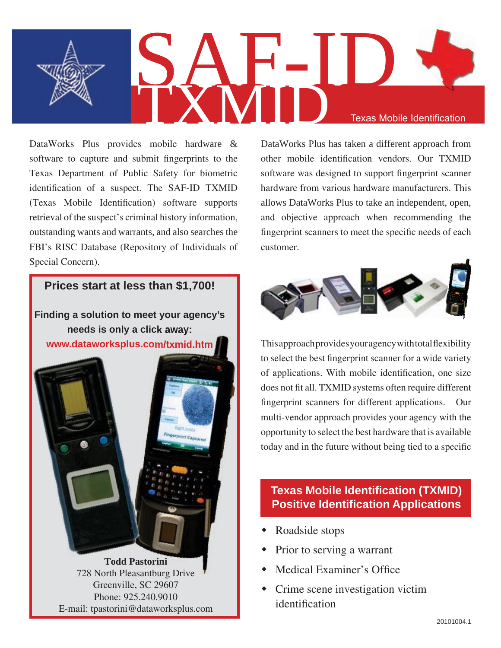

DataWorks Plus provides mobile hardware & software to capture and submit fingerprints to the Texas Department of Public Safety for biometric identification of a suspect. The SAF-ID TXMID (Texas Mobile Identification) software supports retrieval of the suspect's criminal history information, outstanding wants and warrants, and also searches the FBI's RISC Database (Repository of Individuals of Special Concern).

# **Prices start at less than \$1,700!**

**Finding a solution to meet your agency's needs is only a click away: www.dataworksplus.com/txmid.htm**

> **Todd Pastorini** 728 North Pleasantburg Drive Greenville, SC 29607 Phone: 925.240.9010 E-mail: tpastorini@dataworksplus.com

DataWorks Plus has taken a different approach from other mobile identification vendors. Our TXMID software was designed to support fingerprint scanner hardware from various hardware manufacturers. This allows DataWorks Plus to take an independent, open, and objective approach when recommending the fingerprint scanners to meet the specific needs of each customer.



This approach provides your agency with total flexibility to select the best fingerprint scanner for a wide variety of applications. With mobile identification, one size does not fit all. TXMID systems often require different fingerprint scanners for different applications. Our multi-vendor approach provides your agency with the opportunity to select the best hardware that is available today and in the future without being tied to a specific

### **Texas Mobile Identification (TXMID) Positive Identification Applications**

- Roadside stops
- Prior to serving a warrant
- Medical Examiner's Office
- Crime scene investigation victim identification